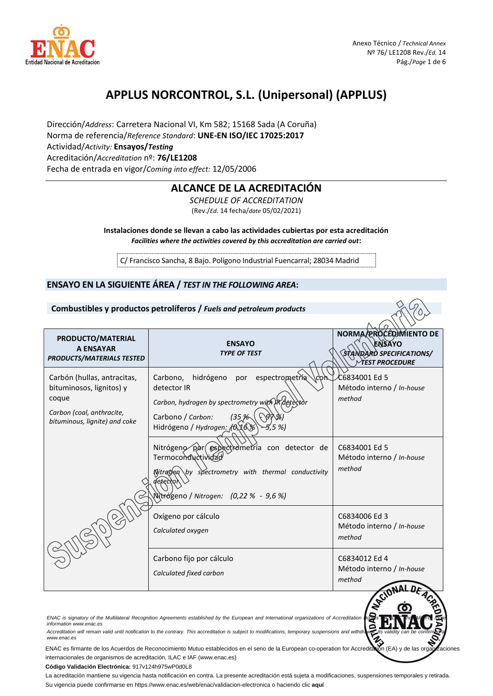

# **APPLUS NORCONTROL, S.L. (Unipersonal) (APPLUS)**

Dirección/*Address*: Carretera Nacional VI, Km 582; 15168 Sada (A Coruña) Norma de referencia/*Reference Standard*: **UNE-EN ISO/IEC 17025:2017** Actividad/*Activity:* **Ensayos/***Testing* Acreditación/*Accreditation* nº: **76/LE1208** Fecha de entrada en vigor/*Coming into effect:* 12/05/2006

# **ALCANCE DE LA ACREDITACIÓN**

*SCHEDULE OF ACCREDITATION* (Rev./*Ed*. 14 fecha/*date* 05/02/2021)

**Instalaciones donde se llevan a cabo las actividades cubiertas por esta acreditación**  *Facilities where the activities covered by this accreditation are carried out***:**

C/ Francisco Sancha, 8 Bajo. Polígono Industrial Fuencarral; 28034 Madrid

## **ENSAYO EN LA SIGUIENTE ÁREA /** *TEST IN THE FOLLOWING AREA***:**

|                                                                                                                                | Combustibles y productos petrolíferos / Fuels and petroleum products                                                                                                                                                                                                                                 |                                                                                              |
|--------------------------------------------------------------------------------------------------------------------------------|------------------------------------------------------------------------------------------------------------------------------------------------------------------------------------------------------------------------------------------------------------------------------------------------------|----------------------------------------------------------------------------------------------|
| PRODUCTO/MATERIAL<br><b>A ENSAYAR</b><br><b>PRODUCTS/MATERIALS TESTED</b>                                                      | <b>ENSAYO</b><br><b>TYPE OF TEST</b>                                                                                                                                                                                                                                                                 | NORMA/PROCEDIMIENTO DE<br><b>ENSAYO</b><br>STANDARD SPECIFICATIONS/<br><b>MEST PROCEDURE</b> |
| Carbón (hullas, antracitas,<br>bituminosos, lignitos) y<br>coque<br>Carbon (coal, anthracite,<br>bituminous, lignite) and coke | Carbono,<br>hidrógeno<br>espectrometria<br>por<br>CО<br>detector IR<br>Carbon, hydrogen by spectrometry with IR detected<br>Carbono / Carbon:<br>135%<br>Hidrógeno / Hydrogen: (6)16%<br>5,5 %)                                                                                                      | C6834001 Ed 5<br>Método interno / In-house<br>method                                         |
|                                                                                                                                | Nitrógeno por espectiometría con detector de<br>Termoconductividad<br>by spectrometry with thermal conductivity<br>Nitrogen<br>Nitrógeno / Nitrogen: (0,22 % - 9,6 %)                                                                                                                                | C6834001 Ed 5<br>Método interno / In-house<br>method                                         |
|                                                                                                                                | Oxígeno por cálculo<br>Calculated oxygen                                                                                                                                                                                                                                                             | C6834006 Ed 3<br>Método interno / In-house<br>method                                         |
|                                                                                                                                | Carbono fijo por cálculo<br>Calculated fixed carbon                                                                                                                                                                                                                                                  | C6834012 Ed 4<br>Método interno / In-house<br>method                                         |
| information www.enac.es                                                                                                        | ENAC is signatory of the Multilateral Recognition Agreements established by the European and International organizations of Accreditation<br>Accreditation will remain valid until notification to the contrary. This accreditation is subject to modifications, temporary suspensions and withdrawa |                                                                                              |

*[www.enac.es](http://www.enac.es/)*

Www.enac.es<br>ENAC es firmante de los Acuerdos de Reconocimiento Mutuo establecidos en el seno de la European co-operation for Accreditation (EA) y de las organizaciones internacionales de organismos de acreditación, ILAC e IAF (www.enac.es)

**Código Validación Electrónica:** 917v124h975wP0d0L8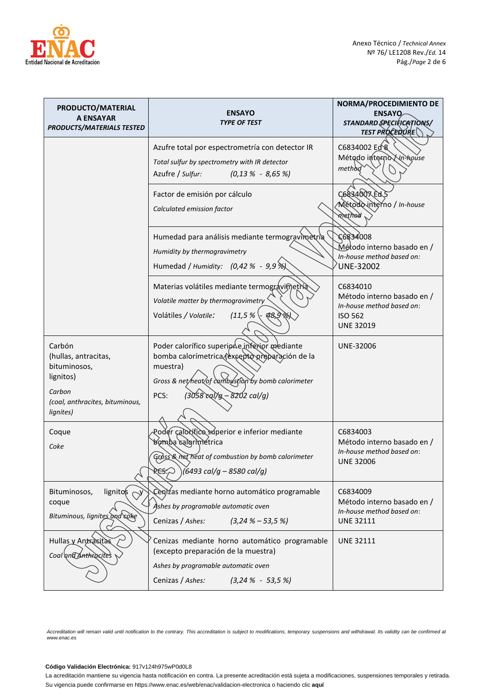

| PRODUCTO/MATERIAL<br>A ENSAYAR<br><b>PRODUCTS/MATERIALS TESTED</b> | <b>ENSAYO</b><br><b>TYPE OF TEST</b>                                                                                                                                   | <b>NORMA/PROCEDIMIENTO DE</b><br><b>ENSAYO</b><br>STANDARD SPECIFICATIONS/<br><b>TEST PROCEDURE</b>       |
|--------------------------------------------------------------------|------------------------------------------------------------------------------------------------------------------------------------------------------------------------|-----------------------------------------------------------------------------------------------------------|
|                                                                    | Azufre total por espectrometría con detector IR<br>Total sulfur by spectrometry with IR detector<br>Azufre / Sulfur:<br>$(0,13\% - 8,65\%)$                            | C6834002 Ed 8<br>Método interno Vn-house<br>method                                                        |
|                                                                    | Factor de emisión por cálculo<br>Calculated emission factor                                                                                                            | C6834007 Ed<br>Mětodo interno / In-house<br>ninethodi                                                     |
|                                                                    | Humedad para análisis mediante termogravimetria<br>Humidity by thermogravimetry<br>Humedad / Humidity: (0,42 % - 9,9 %)                                                | 8004E862<br>Método interno basado en /<br>In-house method based on:<br><b>UNE-32002</b>                   |
|                                                                    | Materias volátiles mediante termográvimetria<br>Volatile matter by thermogravimetry<br>$(11,5% \cdot 98,9)$<br>Volátiles / Volatile:                                   | C6834010<br>Método interno basado en /<br>In-house method based on:<br><b>ISO 562</b><br><b>UNE 32019</b> |
| Carbón<br>(hullas, antracitas,<br>bituminosos,<br>lignitos)        | Poder calorífico superior e inferior mediante<br>bomba calorímetrica (excepto preparación de la<br>muestra)<br>Gross & net heat of combustion by bomb calorimeter      | UNE-32006                                                                                                 |
| Carbon<br>(coal, anthracites, bituminous,<br>lignites)             | $(3058 \text{ cal/g} - 8202 \text{ cal/g})$<br>PCS:                                                                                                                    |                                                                                                           |
| Coque<br>Coke                                                      | Podér caloxítico súperior e inferior mediante<br>bomba calorimetrica<br>Gross & net heat of combustion by bomb calorimeter<br>RES; O<br>(6493 cal/g – 8580 cal/g)      | C6834003<br>Método interno basado en /<br>In-house method based on:<br><b>UNE 32006</b>                   |
| lignitos<br>Bituminosos,<br>coque<br>Bituminous, lignites and coke | Cenizas mediante horno automático programable<br>Ashes by programable automatic oven<br>Cenizas / Ashes:<br>$(3,24\% - 53,5\%)$                                        | C6834009<br>Método interno basado en /<br>In-house method based on:<br><b>UNE 32111</b>                   |
| Hullas y Antracitas<br>Coal and Anthracites                        | Cenizas mediante horno automático programable<br>(excepto preparación de la muestra)<br>Ashes by programable automatic oven<br>Cenizas / Ashes:<br>$(3,24\% - 53,5\%)$ | <b>UNE 32111</b>                                                                                          |

#### **Código Validación Electrónica:** 917v124h975wP0d0L8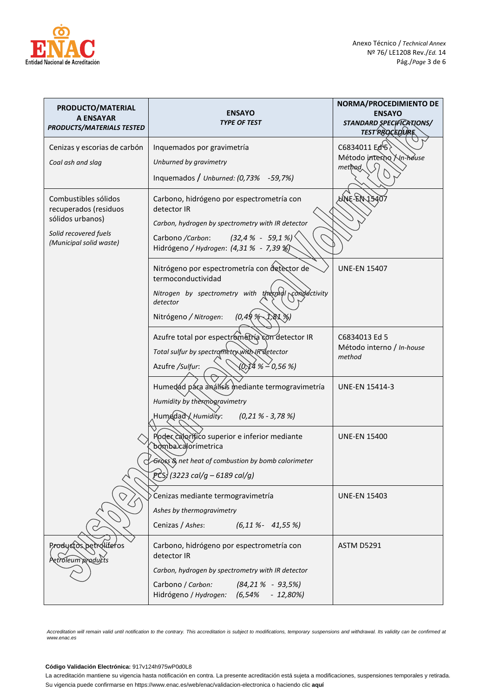

| PRODUCTO/MATERIAL<br><b>A ENSAYAR</b><br><b>PRODUCTS/MATERIALS TESTED</b> | <b>ENSAYO</b><br><b>TYPE OF TEST</b>                                                          | <b>NORMA/PROCEDIMIENTO DE</b><br><b>ENSAYO</b><br>STANDARD SPECIFICATIONS/ |
|---------------------------------------------------------------------------|-----------------------------------------------------------------------------------------------|----------------------------------------------------------------------------|
|                                                                           |                                                                                               | TEST RROCEDURE                                                             |
| Cenizas y escorias de carbón                                              | Inquemados por gravimetría                                                                    | C6834011 Ed <sup>\</sup> 5                                                 |
| Coal ash and slag                                                         | Unburned by gravimetry                                                                        | Método interno Xn-house<br>method,                                         |
|                                                                           | Inquemados / Unburned: $(0,73\%$ -59,7%)                                                      |                                                                            |
| Combustibles sólidos<br>recuperados (residuos                             | Carbono, hidrógeno por espectrometría con<br>detector IR                                      | WNE-EN 15407                                                               |
| sólidos urbanos)                                                          | Carbon, hydrogen by spectrometry with IR detector                                             |                                                                            |
| Solid recovered fuels<br>(Municipal solid waste)                          | $(32, 4 % - 59, 1 %)$<br>Carbono /Carbon:<br>Hidrógeno / Hydrogen: (4,31 % - 7,39 %)          |                                                                            |
|                                                                           | Nitrógeno por espectrometría con detector de<br>termoconductividad                            | <b>UNE-EN 15407</b>                                                        |
|                                                                           | Nitrogen by spectrometry with the may conductivity<br>detector                                |                                                                            |
|                                                                           | (0,49%<br>Nitrógeno / Nitrogen:<br>1,81 %)                                                    |                                                                            |
|                                                                           | Azufre total por espectrometria con detector IR                                               | C6834013 Ed 5<br>Método interno / In-house                                 |
|                                                                           | Total sulfur by spectrometry with IR detector<br>(0,}4 %≧0,56 %)<br>Azufre / Sulfur:          | method                                                                     |
|                                                                           | Humedád pára análísis mediante termogravimetría                                               | <b>UNE-EN 15414-3</b>                                                      |
|                                                                           | Humidity by the knogravimetry                                                                 |                                                                            |
|                                                                           | Humedad Humidity:<br>$(0, 21 \, % -3, 78 \, % )$                                              |                                                                            |
|                                                                           | Poder calorífico superior e inferior mediante<br>bomba)calorímetrica                          | <b>UNE-EN 15400</b>                                                        |
|                                                                           | Gross & net heat of combustion by bomb calorimeter                                            |                                                                            |
|                                                                           | (3223 cal/g – 6189 cal/g)                                                                     |                                                                            |
|                                                                           | Cenizas mediante termogravimetría                                                             | <b>UNE-EN 15403</b>                                                        |
|                                                                           | Ashes by thermogravimetry                                                                     |                                                                            |
|                                                                           | Cenizas / Ashes:<br>$(6, 11\% - 41, 55\%)$                                                    |                                                                            |
| Productos petrolíferos<br>etroleum products                               | Carbono, hidrógeno por espectrometría con<br>detector IR                                      | <b>ASTM D5291</b>                                                          |
|                                                                           | Carbon, hydrogen by spectrometry with IR detector                                             |                                                                            |
|                                                                           | Carbono / Carbon:<br>$(84, 21\% - 93, 5\%)$<br>Hidrógeno / Hydrogen:<br>(6, 54%<br>$-12,80\%$ |                                                                            |

## **Código Validación Electrónica:** 917v124h975wP0d0L8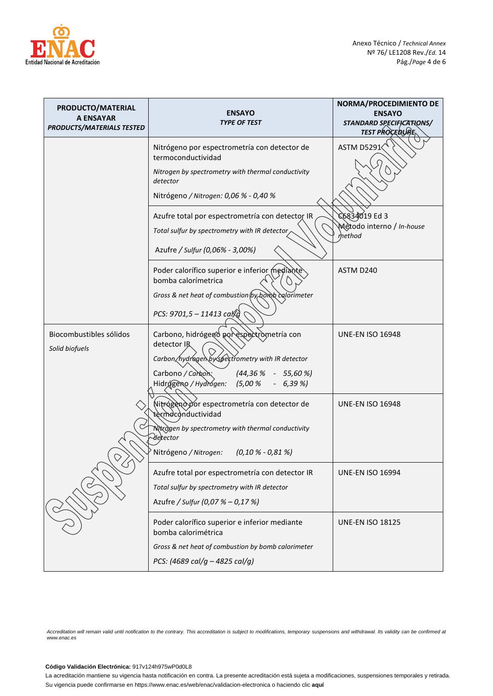

| PRODUCTO/MATERIAL<br><b>A ENSAYAR</b><br><b>PRODUCTS/MATERIALS TESTED</b> | <b>ENSAYO</b><br><b>TYPE OF TEST</b>                                                                                                                                                                   | NORMA/PROCEDIMIENTO DE<br><b>ENSAYO</b><br>STANDARD SPECIFICATIONS/<br><b>TEST PROCEDURE</b> |
|---------------------------------------------------------------------------|--------------------------------------------------------------------------------------------------------------------------------------------------------------------------------------------------------|----------------------------------------------------------------------------------------------|
|                                                                           | Nitrógeno por espectrometría con detector de<br>termoconductividad<br>Nitrogen by spectrometry with thermal conductivity<br>detector<br>Nitrógeno / Nitrogen: 0,06 % - 0,40 %                          | ASTM D5291                                                                                   |
|                                                                           | Azufre total por espectrometría con detector IR<br>Total sulfur by spectrometry with IR detector<br>Azufre / Sulfur (0,06% - 3,00%)                                                                    | C6834019 Ed 3<br>Metodo interno / In-house<br>method                                         |
|                                                                           | Poder calorífico superior e inferior mediante<br>bomba calorímetrica<br>Gross & net heat of combustion by borob calorimeter<br>PCS: $9701,5 - 11413 \text{ ca}$                                        | ASTM D <sub>240</sub>                                                                        |
| Biocombustibles sólidos<br>Solid biofuels                                 | Carbono, hidrógeno por espectrometría con<br>detector IR<br>Carbon hydrogen by spectrometry with IR detector<br>Carbono / Carbon<br>$(44,36% - 55,60%)$<br>Hidrógeno / Hydrógen:<br>$(5,00\%$ - 6,39%) | <b>UNE-EN ISO 16948</b>                                                                      |
|                                                                           | Nitrógeno por espectrometría con detector de<br>termeconductividad<br>Nitrogen by spectrometry with thermal conductivity<br>-deltector<br>Nitrógeno / Nitrogen:<br>(0,10 % - 0,81 %)                   | <b>UNE-EN ISO 16948</b>                                                                      |
|                                                                           | Azufre total por espectrometría con detector IR<br>Total sulfur by spectrometry with IR detector<br>Azufre / Sulfur (0,07 % - 0,17 %)                                                                  | <b>UNE-EN ISO 16994</b>                                                                      |
|                                                                           | Poder calorífico superior e inferior mediante<br>bomba calorimétrica<br>Gross & net heat of combustion by bomb calorimeter<br>PCS: (4689 cal/g - 4825 cal/g)                                           | <b>UNE-EN ISO 18125</b>                                                                      |

## **Código Validación Electrónica:** 917v124h975wP0d0L8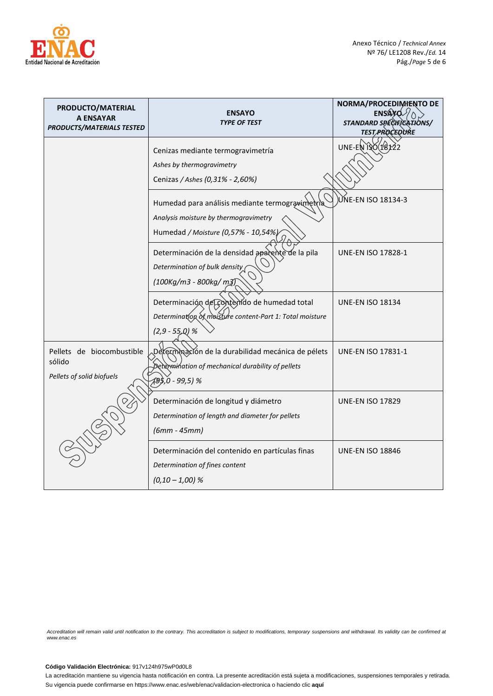

| PRODUCTO/MATERIAL<br>A ENSAYAR<br><b>PRODUCTS/MATERIALS TESTED</b> | <b>ENSAYO</b><br><b>TYPE OF TEST</b>                                                                                            | NORMA/PROCEDIMENTO DE<br>ENSAY<br>STANDARD SPECIFICATIONS/<br><b>TEST PROCEDURE</b> |
|--------------------------------------------------------------------|---------------------------------------------------------------------------------------------------------------------------------|-------------------------------------------------------------------------------------|
|                                                                    | Cenizas mediante termogravimetría<br>Ashes by thermogravimetry<br>Cenizas / Ashes (0,31% - 2,60%)                               | UNE-EN ISO (18122                                                                   |
|                                                                    | Humedad para análisis mediante termogravimetria<br>Analysis moisture by thermogravimetry<br>Humedad / Moisture (0,57% - 10,54%) | UNE-EN ISO 18134-3                                                                  |
|                                                                    | Determinación de la densidad apacente de la pila<br>Determination of bulk density<br>(100Kg/m3 - 800kg/ m3)                     | <b>UNE-EN ISO 17828-1</b>                                                           |
|                                                                    | Determinación del contemido de humedad total<br>Determination of moisture content-Part 1: Total moisture<br>$(2,9 - 55,0)$ %    | <b>UNE-EN ISO 18134</b>                                                             |
| Pellets de biocombustible<br>sólido<br>Pellets of solid biofuels   | Determinación de la durabilidad mecánica de pélets<br>Determination of mechanical durability of pellets<br>49\$,0 - 99,5) %     | <b>UNE-EN ISO 17831-1</b>                                                           |
|                                                                    | Determinación de longitud y diámetro<br>Determination of length and diameter for pellets<br>$(6mm - 45mm)$                      | <b>UNE-EN ISO 17829</b>                                                             |
|                                                                    | Determinación del contenido en partículas finas<br>Determination of fines content<br>$(0,10-1,00)$ %                            | <b>UNE-EN ISO 18846</b>                                                             |

## **Código Validación Electrónica:** 917v124h975wP0d0L8